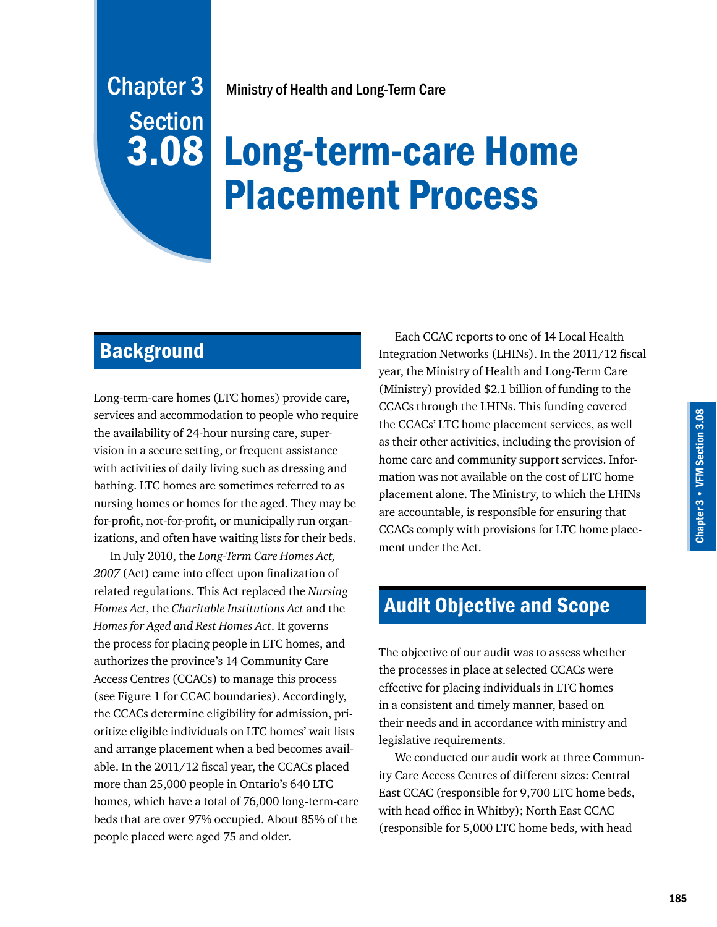# Ministry of Health and Long-Term Care

# Long-term-care Home Placement Process

# **Background**

Chapter 3

Section

3.08

Long-term-care homes (LTC homes) provide care, services and accommodation to people who require the availability of 24-hour nursing care, supervision in a secure setting, or frequent assistance with activities of daily living such as dressing and bathing. LTC homes are sometimes referred to as nursing homes or homes for the aged. They may be for-profit, not-for-profit, or municipally run organizations, and often have waiting lists for their beds.

In July 2010, the *Long-Term Care Homes Act, 2007* (Act) came into effect upon finalization of related regulations. This Act replaced the *Nursing Homes Act*, the *Charitable Institutions Act* and the *Homes for Aged and Rest Homes Act*. It governs the process for placing people in LTC homes, and authorizes the province's 14 Community Care Access Centres (CCACs) to manage this process (see Figure 1 for CCAC boundaries). Accordingly, the CCACs determine eligibility for admission, prioritize eligible individuals on LTC homes' wait lists and arrange placement when a bed becomes available. In the 2011/12 fiscal year, the CCACs placed more than 25,000 people in Ontario's 640 LTC homes, which have a total of 76,000 long-term-care beds that are over 97% occupied. About 85% of the people placed were aged 75 and older.

Each CCAC reports to one of 14 Local Health Integration Networks (LHINs). In the 2011/12 fiscal year, the Ministry of Health and Long-Term Care (Ministry) provided \$2.1 billion of funding to the CCACs through the LHINs. This funding covered the CCACs' LTC home placement services, as well as their other activities, including the provision of home care and community support services. Information was not available on the cost of LTC home placement alone. The Ministry, to which the LHINs are accountable, is responsible for ensuring that CCACs comply with provisions for LTC home placement under the Act.

# Audit Objective and Scope

The objective of our audit was to assess whether the processes in place at selected CCACs were effective for placing individuals in LTC homes in a consistent and timely manner, based on their needs and in accordance with ministry and legislative requirements.

We conducted our audit work at three Community Care Access Centres of different sizes: Central East CCAC (responsible for 9,700 LTC home beds, with head office in Whitby); North East CCAC (responsible for 5,000 LTC home beds, with head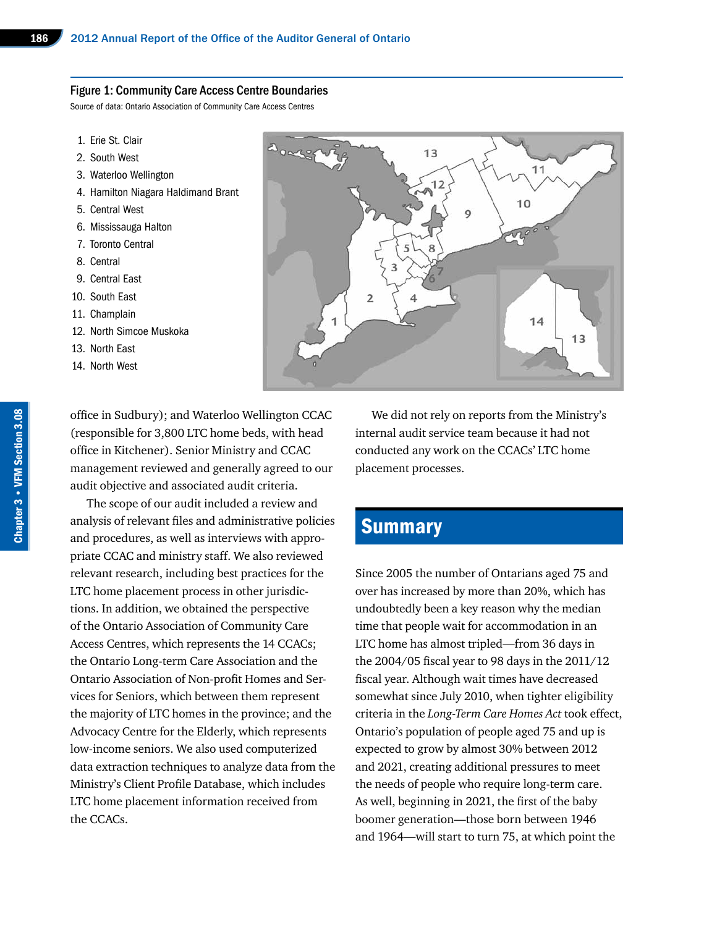#### Figure 1: Community Care Access Centre Boundaries

Source of data: Ontario Association of Community Care Access Centres

- 1. Erie St. Clair
- 2. South West
- 3. Waterloo Wellington
- 4. Hamilton Niagara Haldimand Brant
- 5. Central West
- 6. Mississauga Halton
- 7. Toronto Central
- 8. Central
- 9. Central East
- 10. South East
- 11. Champlain
- 12. North Simcoe Muskoka
- 13. North East
- 14. North West



office in Sudbury); and Waterloo Wellington CCAC (responsible for 3,800 LTC home beds, with head office in Kitchener). Senior Ministry and CCAC management reviewed and generally agreed to our audit objective and associated audit criteria.

The scope of our audit included a review and analysis of relevant files and administrative policies and procedures, as well as interviews with appropriate CCAC and ministry staff. We also reviewed relevant research, including best practices for the LTC home placement process in other jurisdictions. In addition, we obtained the perspective of the Ontario Association of Community Care Access Centres, which represents the 14 CCACs; the Ontario Long-term Care Association and the Ontario Association of Non-profit Homes and Services for Seniors, which between them represent the majority of LTC homes in the province; and the Advocacy Centre for the Elderly, which represents low-income seniors. We also used computerized data extraction techniques to analyze data from the Ministry's Client Profile Database, which includes LTC home placement information received from the CCACs.

We did not rely on reports from the Ministry's internal audit service team because it had not conducted any work on the CCACs' LTC home placement processes.

# **Summary**

Since 2005 the number of Ontarians aged 75 and over has increased by more than 20%, which has undoubtedly been a key reason why the median time that people wait for accommodation in an LTC home has almost tripled—from 36 days in the 2004/05 fiscal year to 98 days in the 2011/12 fiscal year. Although wait times have decreased somewhat since July 2010, when tighter eligibility criteria in the *Long-Term Care Homes Act* took effect, Ontario's population of people aged 75 and up is expected to grow by almost 30% between 2012 and 2021, creating additional pressures to meet the needs of people who require long-term care. As well, beginning in 2021, the first of the baby boomer generation—those born between 1946 and 1964—will start to turn 75, at which point the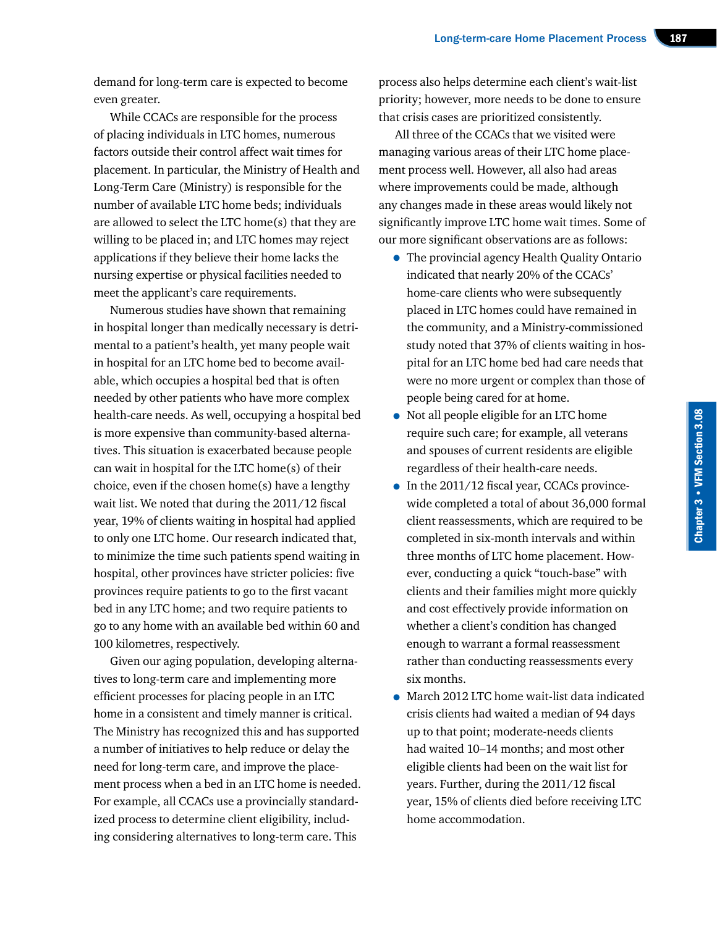demand for long-term care is expected to become even greater.

While CCACs are responsible for the process of placing individuals in LTC homes, numerous factors outside their control affect wait times for placement. In particular, the Ministry of Health and Long-Term Care (Ministry) is responsible for the number of available LTC home beds; individuals are allowed to select the LTC home(s) that they are willing to be placed in; and LTC homes may reject applications if they believe their home lacks the nursing expertise or physical facilities needed to meet the applicant's care requirements.

Numerous studies have shown that remaining in hospital longer than medically necessary is detrimental to a patient's health, yet many people wait in hospital for an LTC home bed to become available, which occupies a hospital bed that is often needed by other patients who have more complex health-care needs. As well, occupying a hospital bed is more expensive than community-based alternatives. This situation is exacerbated because people can wait in hospital for the LTC home(s) of their choice, even if the chosen home(s) have a lengthy wait list. We noted that during the 2011/12 fiscal year, 19% of clients waiting in hospital had applied to only one LTC home. Our research indicated that, to minimize the time such patients spend waiting in hospital, other provinces have stricter policies: five provinces require patients to go to the first vacant bed in any LTC home; and two require patients to go to any home with an available bed within 60 and 100 kilometres, respectively.

Given our aging population, developing alternatives to long-term care and implementing more efficient processes for placing people in an LTC home in a consistent and timely manner is critical. The Ministry has recognized this and has supported a number of initiatives to help reduce or delay the need for long-term care, and improve the placement process when a bed in an LTC home is needed. For example, all CCACs use a provincially standardized process to determine client eligibility, including considering alternatives to long-term care. This

process also helps determine each client's wait-list priority; however, more needs to be done to ensure that crisis cases are prioritized consistently.

All three of the CCACs that we visited were managing various areas of their LTC home placement process well. However, all also had areas where improvements could be made, although any changes made in these areas would likely not significantly improve LTC home wait times. Some of our more significant observations are as follows:

- The provincial agency Health Quality Ontario indicated that nearly 20% of the CCACs' home-care clients who were subsequently placed in LTC homes could have remained in the community, and a Ministry-commissioned study noted that 37% of clients waiting in hospital for an LTC home bed had care needs that were no more urgent or complex than those of people being cared for at home.
- Not all people eligible for an LTC home require such care; for example, all veterans and spouses of current residents are eligible regardless of their health-care needs.
- In the 2011/12 fiscal year, CCACs provincewide completed a total of about 36,000 formal client reassessments, which are required to be completed in six-month intervals and within three months of LTC home placement. However, conducting a quick "touch-base" with clients and their families might more quickly and cost effectively provide information on whether a client's condition has changed enough to warrant a formal reassessment rather than conducting reassessments every six months.
- March 2012 LTC home wait-list data indicated crisis clients had waited a median of 94 days up to that point; moderate-needs clients had waited 10–14 months; and most other eligible clients had been on the wait list for years. Further, during the 2011/12 fiscal year, 15% of clients died before receiving LTC home accommodation.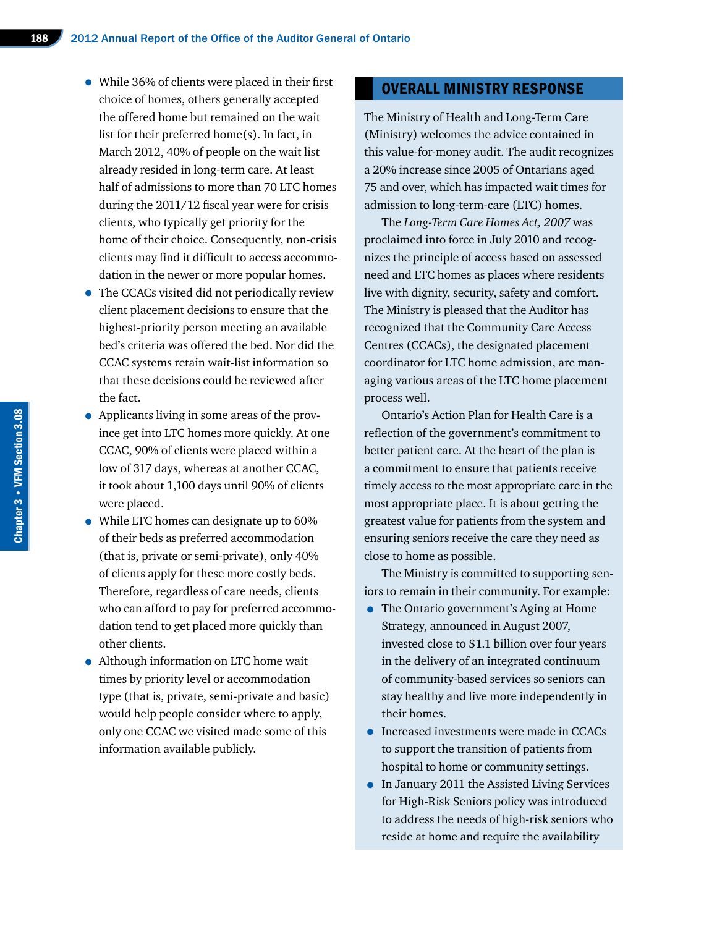- While 36% of clients were placed in their first choice of homes, others generally accepted the offered home but remained on the wait list for their preferred home(s). In fact, in March 2012, 40% of people on the wait list already resided in long-term care. At least half of admissions to more than 70 LTC homes during the 2011/12 fiscal year were for crisis clients, who typically get priority for the home of their choice. Consequently, non-crisis clients may find it difficult to access accommodation in the newer or more popular homes.
- The CCACs visited did not periodically review client placement decisions to ensure that the highest-priority person meeting an available bed's criteria was offered the bed. Nor did the CCAC systems retain wait-list information so that these decisions could be reviewed after the fact.
- Applicants living in some areas of the province get into LTC homes more quickly. At one CCAC, 90% of clients were placed within a low of 317 days, whereas at another CCAC, it took about 1,100 days until 90% of clients were placed.
- While LTC homes can designate up to 60% of their beds as preferred accommodation (that is, private or semi-private), only 40% of clients apply for these more costly beds. Therefore, regardless of care needs, clients who can afford to pay for preferred accommodation tend to get placed more quickly than other clients.
- Although information on LTC home wait times by priority level or accommodation type (that is, private, semi-private and basic) would help people consider where to apply, only one CCAC we visited made some of this information available publicly.

# OVERALL MINISTRY RESPONSE

The Ministry of Health and Long-Term Care (Ministry) welcomes the advice contained in this value-for-money audit. The audit recognizes a 20% increase since 2005 of Ontarians aged 75 and over, which has impacted wait times for admission to long-term-care (LTC) homes.

The *Long-Term Care Homes Act, 2007* was proclaimed into force in July 2010 and recognizes the principle of access based on assessed need and LTC homes as places where residents live with dignity, security, safety and comfort. The Ministry is pleased that the Auditor has recognized that the Community Care Access Centres (CCACs), the designated placement coordinator for LTC home admission, are managing various areas of the LTC home placement process well.

Ontario's Action Plan for Health Care is a reflection of the government's commitment to better patient care. At the heart of the plan is a commitment to ensure that patients receive timely access to the most appropriate care in the most appropriate place. It is about getting the greatest value for patients from the system and ensuring seniors receive the care they need as close to home as possible.

The Ministry is committed to supporting seniors to remain in their community. For example:

- The Ontario government's Aging at Home Strategy, announced in August 2007, invested close to \$1.1 billion over four years in the delivery of an integrated continuum of community-based services so seniors can stay healthy and live more independently in their homes.
- Increased investments were made in CCACs to support the transition of patients from hospital to home or community settings.
- <sup>I</sup>n January 2011 the Assisted Living Services for High-Risk Seniors policy was introduced to address the needs of high-risk seniors who reside at home and require the availability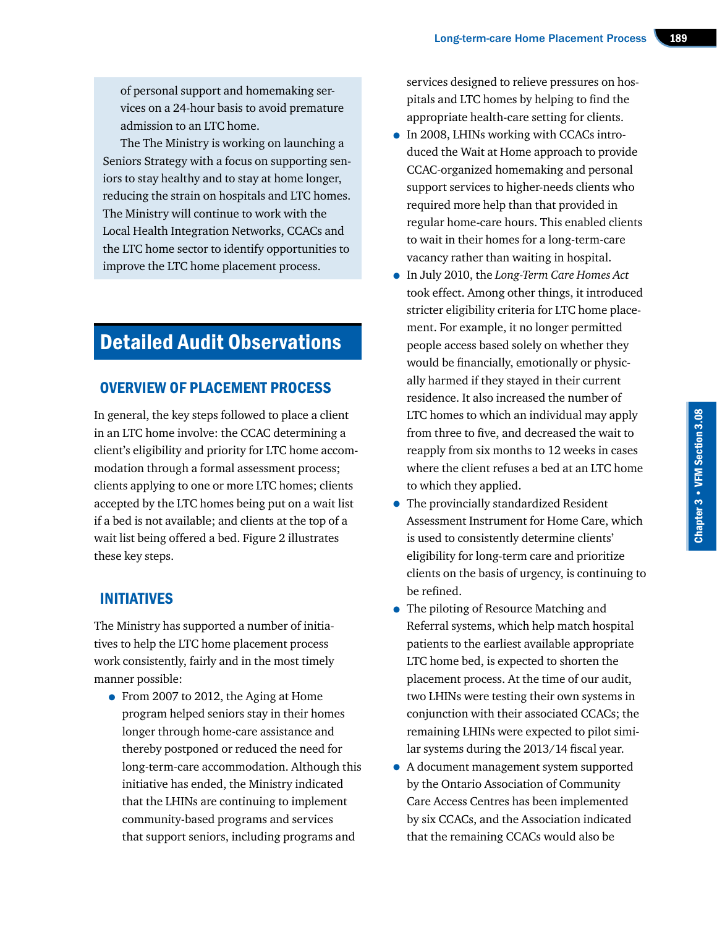of personal support and homemaking services on a 24-hour basis to avoid premature admission to an LTC home.

The The Ministry is working on launching a Seniors Strategy with a focus on supporting seniors to stay healthy and to stay at home longer, reducing the strain on hospitals and LTC homes. The Ministry will continue to work with the Local Health Integration Networks, CCACs and the LTC home sector to identify opportunities to improve the LTC home placement process.

# Detailed Audit Observations

# OVERVIEW OF PLACEMENT PROCESS

In general, the key steps followed to place a client in an LTC home involve: the CCAC determining a client's eligibility and priority for LTC home accommodation through a formal assessment process; clients applying to one or more LTC homes; clients accepted by the LTC homes being put on a wait list if a bed is not available; and clients at the top of a wait list being offered a bed. Figure 2 illustrates these key steps.

# INITIATIVES

The Ministry has supported a number of initiatives to help the LTC home placement process work consistently, fairly and in the most timely manner possible:

• From 2007 to 2012, the Aging at Home program helped seniors stay in their homes longer through home-care assistance and thereby postponed or reduced the need for long-term-care accommodation. Although this initiative has ended, the Ministry indicated that the LHINs are continuing to implement community-based programs and services that support seniors, including programs and

services designed to relieve pressures on hospitals and LTC homes by helping to find the appropriate health-care setting for clients.

- In 2008, LHINs working with CCACs introduced the Wait at Home approach to provide CCAC-organized homemaking and personal support services to higher-needs clients who required more help than that provided in regular home-care hours. This enabled clients to wait in their homes for a long-term-care vacancy rather than waiting in hospital.
- In July 2010, the *Long-Term Care Homes Act* took effect. Among other things, it introduced stricter eligibility criteria for LTC home placement. For example, it no longer permitted people access based solely on whether they would be financially, emotionally or physically harmed if they stayed in their current residence. It also increased the number of LTC homes to which an individual may apply from three to five, and decreased the wait to reapply from six months to 12 weeks in cases where the client refuses a bed at an LTC home to which they applied.
- The provincially standardized Resident Assessment Instrument for Home Care, which is used to consistently determine clients' eligibility for long-term care and prioritize clients on the basis of urgency, is continuing to be refined.
- The piloting of Resource Matching and Referral systems, which help match hospital patients to the earliest available appropriate LTC home bed, is expected to shorten the placement process. At the time of our audit, two LHINs were testing their own systems in conjunction with their associated CCACs; the remaining LHINs were expected to pilot similar systems during the 2013/14 fiscal year.
- A document management system supported by the Ontario Association of Community Care Access Centres has been implemented by six CCACs, and the Association indicated that the remaining CCACs would also be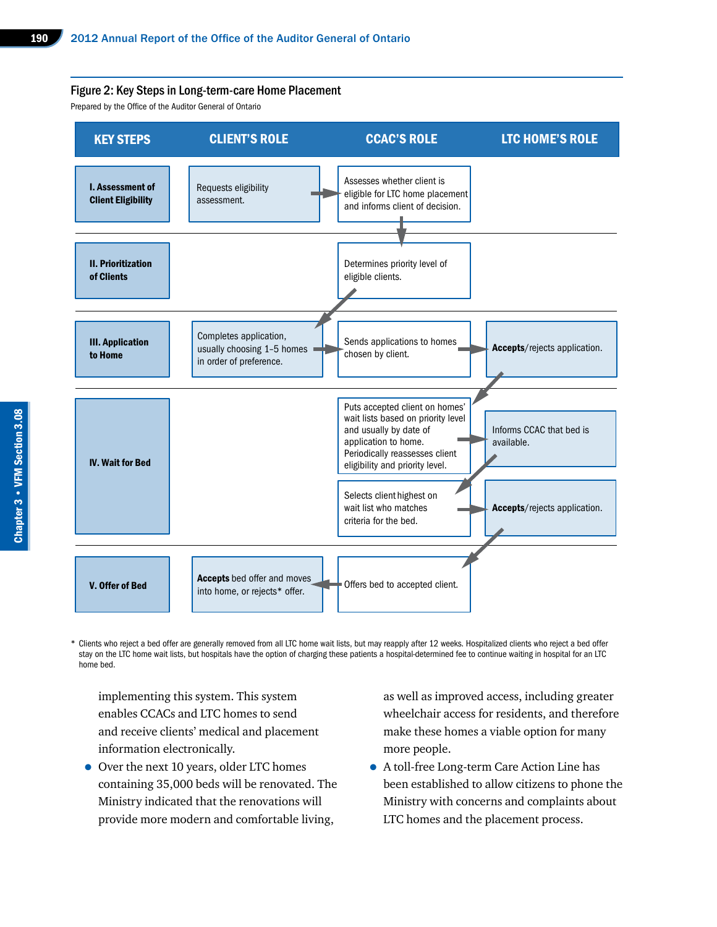#### Figure 2: Key Steps in Long-term-care Home Placement

Prepared by the Office of the Auditor General of Ontario



\* Clients who reject a bed offer are generally removed from all LTC home wait lists, but may reapply after 12 weeks. Hospitalized clients who reject a bed offer stay on the LTC home wait lists, but hospitals have the option of charging these patients a hospital-determined fee to continue waiting in hospital for an LTC home bed.

implementing this system. This system enables CCACs and LTC homes to send and receive clients' medical and placement information electronically.

• Over the next 10 years, older LTC homes containing 35,000 beds will be renovated. The Ministry indicated that the renovations will provide more modern and comfortable living,

as well as improved access, including greater wheelchair access for residents, and therefore make these homes a viable option for many more people.

• A toll-free Long-term Care Action Line has been established to allow citizens to phone the Ministry with concerns and complaints about LTC homes and the placement process.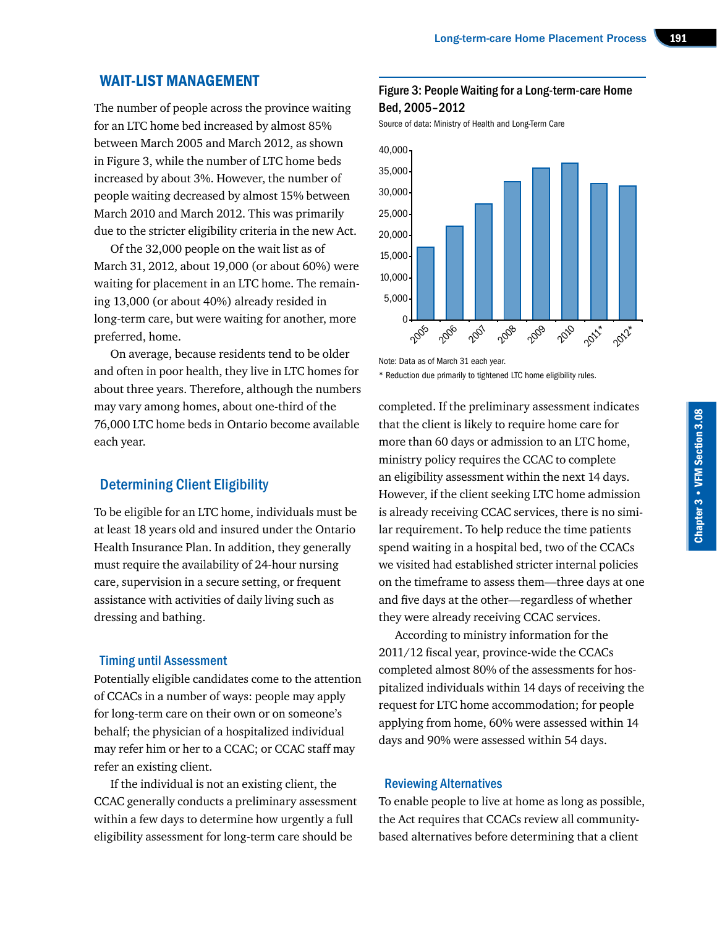#### WAIT-LIST MANAGEMENT

The number of people across the province waiting for an LTC home bed increased by almost 85% between March 2005 and March 2012, as shown in Figure 3, while the number of LTC home beds increased by about 3%. However, the number of people waiting decreased by almost 15% between March 2010 and March 2012. This was primarily due to the stricter eligibility criteria in the new Act.

Of the 32,000 people on the wait list as of March 31, 2012, about 19,000 (or about 60%) were waiting for placement in an LTC home. The remaining 13,000 (or about 40%) already resided in long-term care, but were waiting for another, more preferred, home.

On average, because residents tend to be older and often in poor health, they live in LTC homes for about three years. Therefore, although the numbers may vary among homes, about one-third of the 76,000 LTC home beds in Ontario become available each year.

## Determining Client Eligibility

To be eligible for an LTC home, individuals must be at least 18 years old and insured under the Ontario Health Insurance Plan. In addition, they generally must require the availability of 24-hour nursing care, supervision in a secure setting, or frequent assistance with activities of daily living such as dressing and bathing.

#### Timing until Assessment

Potentially eligible candidates come to the attention of CCACs in a number of ways: people may apply for long-term care on their own or on someone's behalf; the physician of a hospitalized individual may refer him or her to a CCAC; or CCAC staff may refer an existing client.

If the individual is not an existing client, the CCAC generally conducts a preliminary assessment within a few days to determine how urgently a full eligibility assessment for long-term care should be

## Figure 3: People Waiting for a Long-term-care Home Bed, 2005–2012

Source of data: Ministry of Health and Long-Term Care



Note: Data as of March 31 each year.

\* Reduction due primarily to tightened LTC home eligibility rules.

completed. If the preliminary assessment indicates that the client is likely to require home care for more than 60 days or admission to an LTC home, ministry policy requires the CCAC to complete an eligibility assessment within the next 14 days. However, if the client seeking LTC home admission is already receiving CCAC services, there is no similar requirement. To help reduce the time patients spend waiting in a hospital bed, two of the CCACs we visited had established stricter internal policies on the timeframe to assess them—three days at one and five days at the other—regardless of whether they were already receiving CCAC services.

According to ministry information for the 2011/12 fiscal year, province-wide the CCACs completed almost 80% of the assessments for hospitalized individuals within 14 days of receiving the request for LTC home accommodation; for people applying from home, 60% were assessed within 14 days and 90% were assessed within 54 days.

#### Reviewing Alternatives

To enable people to live at home as long as possible, the Act requires that CCACs review all communitybased alternatives before determining that a client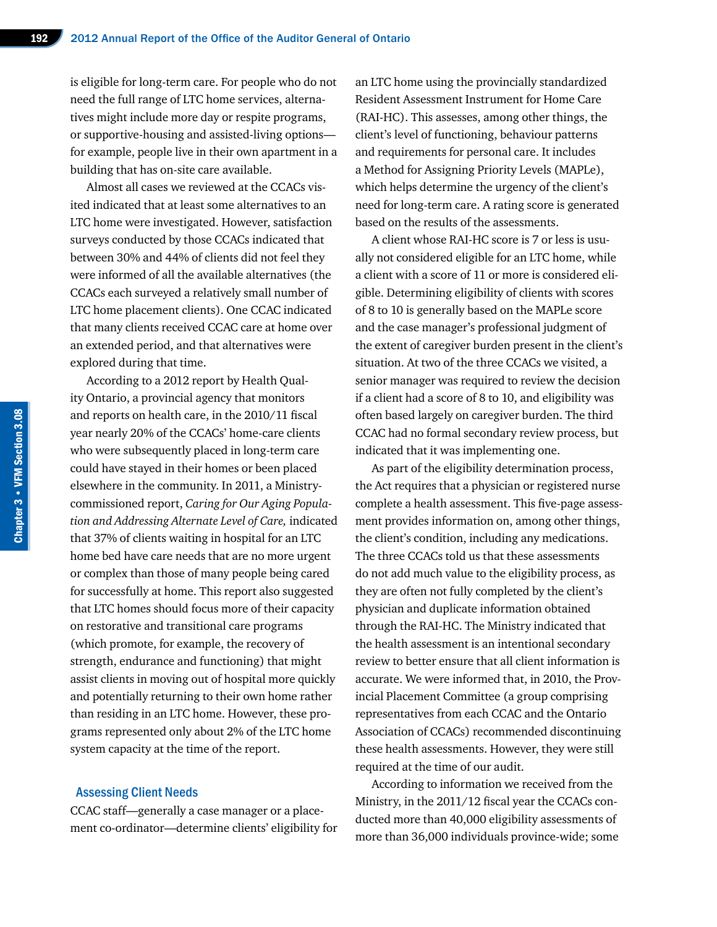is eligible for long-term care. For people who do not need the full range of LTC home services, alternatives might include more day or respite programs, or supportive-housing and assisted-living options for example, people live in their own apartment in a building that has on-site care available.

Almost all cases we reviewed at the CCACs visited indicated that at least some alternatives to an LTC home were investigated. However, satisfaction surveys conducted by those CCACs indicated that between 30% and 44% of clients did not feel they were informed of all the available alternatives (the CCACs each surveyed a relatively small number of LTC home placement clients). One CCAC indicated that many clients received CCAC care at home over an extended period, and that alternatives were explored during that time.

According to a 2012 report by Health Quality Ontario, a provincial agency that monitors and reports on health care, in the 2010/11 fiscal year nearly 20% of the CCACs' home-care clients who were subsequently placed in long-term care could have stayed in their homes or been placed elsewhere in the community. In 2011, a Ministrycommissioned report, *Caring for Our Aging Population and Addressing Alternate Level of Care,* indicated that 37% of clients waiting in hospital for an LTC home bed have care needs that are no more urgent or complex than those of many people being cared for successfully at home. This report also suggested that LTC homes should focus more of their capacity on restorative and transitional care programs (which promote, for example, the recovery of strength, endurance and functioning) that might assist clients in moving out of hospital more quickly and potentially returning to their own home rather than residing in an LTC home. However, these programs represented only about 2% of the LTC home system capacity at the time of the report.

#### Assessing Client Needs

CCAC staff—generally a case manager or a placement co-ordinator—determine clients' eligibility for an LTC home using the provincially standardized Resident Assessment Instrument for Home Care (RAI-HC). This assesses, among other things, the client's level of functioning, behaviour patterns and requirements for personal care. It includes a Method for Assigning Priority Levels (MAPLe), which helps determine the urgency of the client's need for long-term care. A rating score is generated based on the results of the assessments.

A client whose RAI-HC score is 7 or less is usually not considered eligible for an LTC home, while a client with a score of 11 or more is considered eligible. Determining eligibility of clients with scores of 8 to 10 is generally based on the MAPLe score and the case manager's professional judgment of the extent of caregiver burden present in the client's situation. At two of the three CCACs we visited, a senior manager was required to review the decision if a client had a score of 8 to 10, and eligibility was often based largely on caregiver burden. The third CCAC had no formal secondary review process, but indicated that it was implementing one.

As part of the eligibility determination process, the Act requires that a physician or registered nurse complete a health assessment. This five-page assessment provides information on, among other things, the client's condition, including any medications. The three CCACs told us that these assessments do not add much value to the eligibility process, as they are often not fully completed by the client's physician and duplicate information obtained through the RAI-HC. The Ministry indicated that the health assessment is an intentional secondary review to better ensure that all client information is accurate. We were informed that, in 2010, the Provincial Placement Committee (a group comprising representatives from each CCAC and the Ontario Association of CCACs) recommended discontinuing these health assessments. However, they were still required at the time of our audit.

According to information we received from the Ministry, in the 2011/12 fiscal year the CCACs conducted more than 40,000 eligibility assessments of more than 36,000 individuals province-wide; some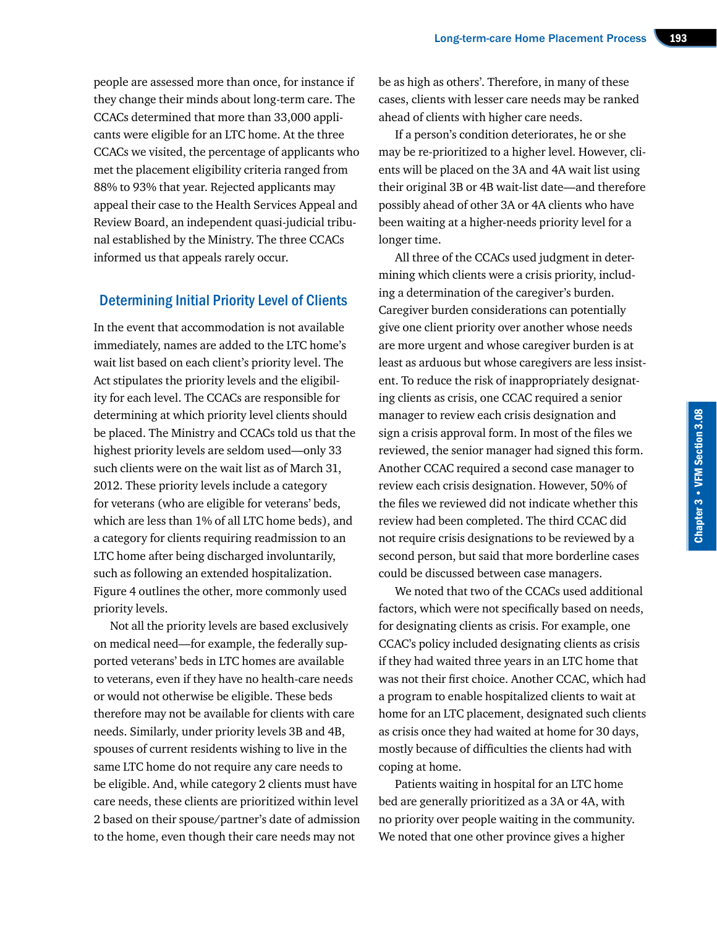people are assessed more than once, for instance if they change their minds about long-term care. The CCACs determined that more than 33,000 applicants were eligible for an LTC home. At the three CCACs we visited, the percentage of applicants who met the placement eligibility criteria ranged from 88% to 93% that year. Rejected applicants may appeal their case to the Health Services Appeal and Review Board, an independent quasi-judicial tribunal established by the Ministry. The three CCACs informed us that appeals rarely occur.

#### Determining Initial Priority Level of Clients

In the event that accommodation is not available immediately, names are added to the LTC home's wait list based on each client's priority level. The Act stipulates the priority levels and the eligibility for each level. The CCACs are responsible for determining at which priority level clients should be placed. The Ministry and CCACs told us that the highest priority levels are seldom used—only 33 such clients were on the wait list as of March 31, 2012. These priority levels include a category for veterans (who are eligible for veterans' beds, which are less than 1% of all LTC home beds), and a category for clients requiring readmission to an LTC home after being discharged involuntarily, such as following an extended hospitalization. Figure 4 outlines the other, more commonly used priority levels.

Not all the priority levels are based exclusively on medical need—for example, the federally supported veterans' beds in LTC homes are available to veterans, even if they have no health-care needs or would not otherwise be eligible. These beds therefore may not be available for clients with care needs. Similarly, under priority levels 3B and 4B, spouses of current residents wishing to live in the same LTC home do not require any care needs to be eligible. And, while category 2 clients must have care needs, these clients are prioritized within level 2 based on their spouse/partner's date of admission to the home, even though their care needs may not

be as high as others'. Therefore, in many of these cases, clients with lesser care needs may be ranked ahead of clients with higher care needs.

If a person's condition deteriorates, he or she may be re-prioritized to a higher level. However, clients will be placed on the 3A and 4A wait list using their original 3B or 4B wait-list date—and therefore possibly ahead of other 3A or 4A clients who have been waiting at a higher-needs priority level for a longer time.

All three of the CCACs used judgment in determining which clients were a crisis priority, including a determination of the caregiver's burden. Caregiver burden considerations can potentially give one client priority over another whose needs are more urgent and whose caregiver burden is at least as arduous but whose caregivers are less insistent. To reduce the risk of inappropriately designating clients as crisis, one CCAC required a senior manager to review each crisis designation and sign a crisis approval form. In most of the files we reviewed, the senior manager had signed this form. Another CCAC required a second case manager to review each crisis designation. However, 50% of the files we reviewed did not indicate whether this review had been completed. The third CCAC did not require crisis designations to be reviewed by a second person, but said that more borderline cases could be discussed between case managers.

We noted that two of the CCACs used additional factors, which were not specifically based on needs, for designating clients as crisis. For example, one CCAC's policy included designating clients as crisis if they had waited three years in an LTC home that was not their first choice. Another CCAC, which had a program to enable hospitalized clients to wait at home for an LTC placement, designated such clients as crisis once they had waited at home for 30 days, mostly because of difficulties the clients had with coping at home.

Patients waiting in hospital for an LTC home bed are generally prioritized as a 3A or 4A, with no priority over people waiting in the community. We noted that one other province gives a higher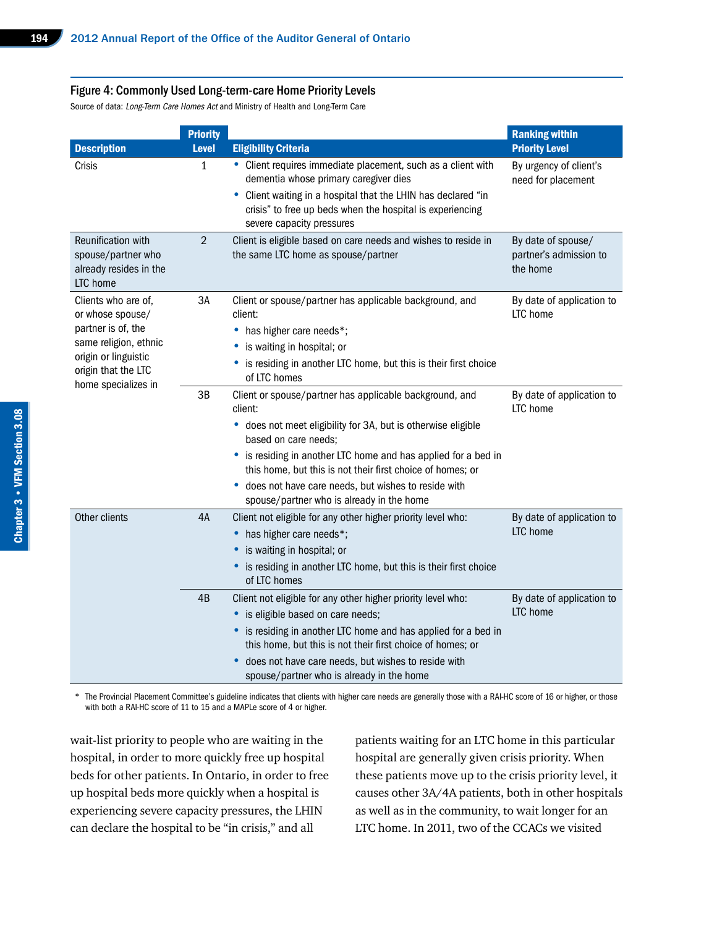#### Figure 4: Commonly Used Long-term-care Home Priority Levels

Source of data: Long-Term Care Homes Act and Ministry of Health and Long-Term Care

|                                                                                                                                                              | <b>Priority</b> |                                                                                                                                                                                                                                                                                                                                                                                                   | <b>Ranking within</b>                                    |  |
|--------------------------------------------------------------------------------------------------------------------------------------------------------------|-----------------|---------------------------------------------------------------------------------------------------------------------------------------------------------------------------------------------------------------------------------------------------------------------------------------------------------------------------------------------------------------------------------------------------|----------------------------------------------------------|--|
| <b>Description</b>                                                                                                                                           | <b>Level</b>    | <b>Eligibility Criteria</b>                                                                                                                                                                                                                                                                                                                                                                       | <b>Priority Level</b>                                    |  |
| Crisis                                                                                                                                                       | 1               | • Client requires immediate placement, such as a client with<br>dementia whose primary caregiver dies<br>Client waiting in a hospital that the LHIN has declared "in<br>٠<br>crisis" to free up beds when the hospital is experiencing<br>severe capacity pressures                                                                                                                               | By urgency of client's<br>need for placement             |  |
| Reunification with<br>spouse/partner who<br>already resides in the<br>LTC home                                                                               | $\overline{2}$  | Client is eligible based on care needs and wishes to reside in<br>the same LTC home as spouse/partner                                                                                                                                                                                                                                                                                             | By date of spouse/<br>partner's admission to<br>the home |  |
| Clients who are of,<br>or whose spouse/<br>partner is of, the<br>same religion, ethnic<br>origin or linguistic<br>origin that the LTC<br>home specializes in | 3A              | Client or spouse/partner has applicable background, and<br>client:<br>• has higher care needs*;<br>is waiting in hospital; or<br>is residing in another LTC home, but this is their first choice<br>٠<br>of LTC homes                                                                                                                                                                             | By date of application to<br>LTC home                    |  |
|                                                                                                                                                              | 3B              | Client or spouse/partner has applicable background, and<br>client:<br>• does not meet eligibility for 3A, but is otherwise eligible<br>based on care needs;<br>• is residing in another LTC home and has applied for a bed in<br>this home, but this is not their first choice of homes; or<br>• does not have care needs, but wishes to reside with<br>spouse/partner who is already in the home | By date of application to<br>LTC home                    |  |
| Other clients                                                                                                                                                | 4A              | Client not eligible for any other higher priority level who:<br>has higher care needs*;<br>٠<br>is waiting in hospital; or<br>is residing in another LTC home, but this is their first choice<br>of LTC homes                                                                                                                                                                                     | By date of application to<br>LTC home                    |  |
|                                                                                                                                                              | 4B              | Client not eligible for any other higher priority level who:<br>• is eligible based on care needs;<br>• is residing in another LTC home and has applied for a bed in<br>this home, but this is not their first choice of homes; or<br>does not have care needs, but wishes to reside with<br>$\bullet$<br>spouse/partner who is already in the home                                               | By date of application to<br>LTC home                    |  |

\* The Provincial Placement Committee's guideline indicates that clients with higher care needs are generally those with a RAI-HC score of 16 or higher, or those with both a RAI-HC score of 11 to 15 and a MAPLe score of 4 or higher.

wait-list priority to people who are waiting in the hospital, in order to more quickly free up hospital beds for other patients. In Ontario, in order to free up hospital beds more quickly when a hospital is experiencing severe capacity pressures, the LHIN can declare the hospital to be "in crisis," and all

patients waiting for an LTC home in this particular hospital are generally given crisis priority. When these patients move up to the crisis priority level, it causes other 3A/4A patients, both in other hospitals as well as in the community, to wait longer for an LTC home. In 2011, two of the CCACs we visited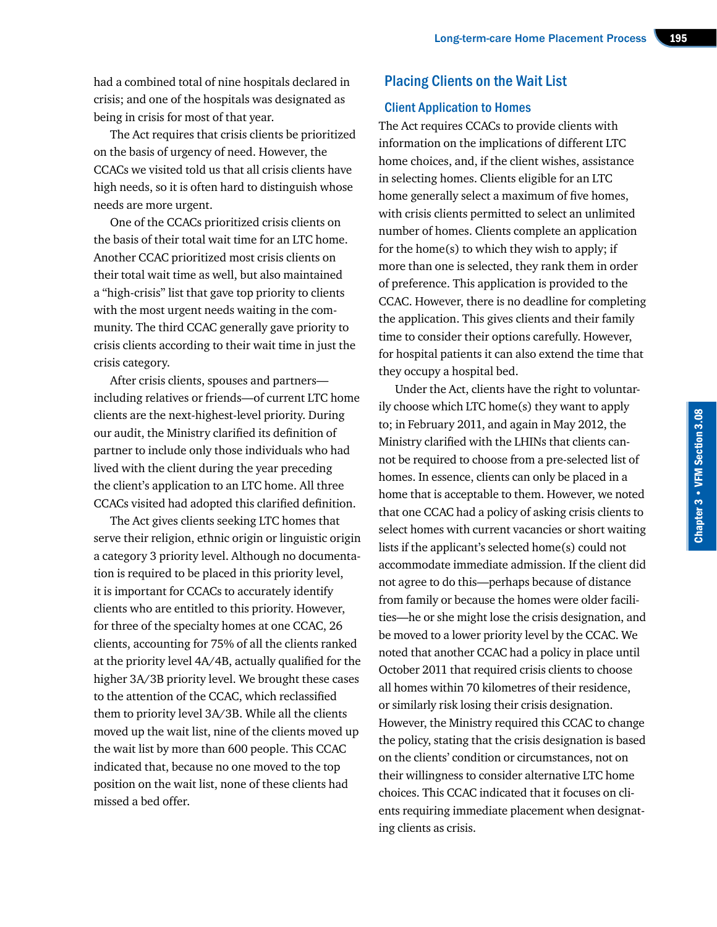had a combined total of nine hospitals declared in crisis; and one of the hospitals was designated as being in crisis for most of that year.

The Act requires that crisis clients be prioritized on the basis of urgency of need. However, the CCACs we visited told us that all crisis clients have high needs, so it is often hard to distinguish whose needs are more urgent.

One of the CCACs prioritized crisis clients on the basis of their total wait time for an LTC home. Another CCAC prioritized most crisis clients on their total wait time as well, but also maintained a "high-crisis" list that gave top priority to clients with the most urgent needs waiting in the community. The third CCAC generally gave priority to crisis clients according to their wait time in just the crisis category.

After crisis clients, spouses and partners including relatives or friends—of current LTC home clients are the next-highest-level priority. During our audit, the Ministry clarified its definition of partner to include only those individuals who had lived with the client during the year preceding the client's application to an LTC home. All three CCACs visited had adopted this clarified definition.

The Act gives clients seeking LTC homes that serve their religion, ethnic origin or linguistic origin a category 3 priority level. Although no documentation is required to be placed in this priority level, it is important for CCACs to accurately identify clients who are entitled to this priority. However, for three of the specialty homes at one CCAC, 26 clients, accounting for 75% of all the clients ranked at the priority level 4A/4B, actually qualified for the higher 3A/3B priority level. We brought these cases to the attention of the CCAC, which reclassified them to priority level 3A/3B. While all the clients moved up the wait list, nine of the clients moved up the wait list by more than 600 people. This CCAC indicated that, because no one moved to the top position on the wait list, none of these clients had missed a bed offer.

# Placing Clients on the Wait List

#### Client Application to Homes

The Act requires CCACs to provide clients with information on the implications of different LTC home choices, and, if the client wishes, assistance in selecting homes. Clients eligible for an LTC home generally select a maximum of five homes, with crisis clients permitted to select an unlimited number of homes. Clients complete an application for the home(s) to which they wish to apply; if more than one is selected, they rank them in order of preference. This application is provided to the CCAC. However, there is no deadline for completing the application. This gives clients and their family time to consider their options carefully. However, for hospital patients it can also extend the time that they occupy a hospital bed.

Under the Act, clients have the right to voluntarily choose which LTC home(s) they want to apply to; in February 2011, and again in May 2012, the Ministry clarified with the LHINs that clients cannot be required to choose from a pre-selected list of homes. In essence, clients can only be placed in a home that is acceptable to them. However, we noted that one CCAC had a policy of asking crisis clients to select homes with current vacancies or short waiting lists if the applicant's selected home(s) could not accommodate immediate admission. If the client did not agree to do this—perhaps because of distance from family or because the homes were older facilities—he or she might lose the crisis designation, and be moved to a lower priority level by the CCAC. We noted that another CCAC had a policy in place until October 2011 that required crisis clients to choose all homes within 70 kilometres of their residence, or similarly risk losing their crisis designation. However, the Ministry required this CCAC to change the policy, stating that the crisis designation is based on the clients' condition or circumstances, not on their willingness to consider alternative LTC home choices. This CCAC indicated that it focuses on clients requiring immediate placement when designating clients as crisis.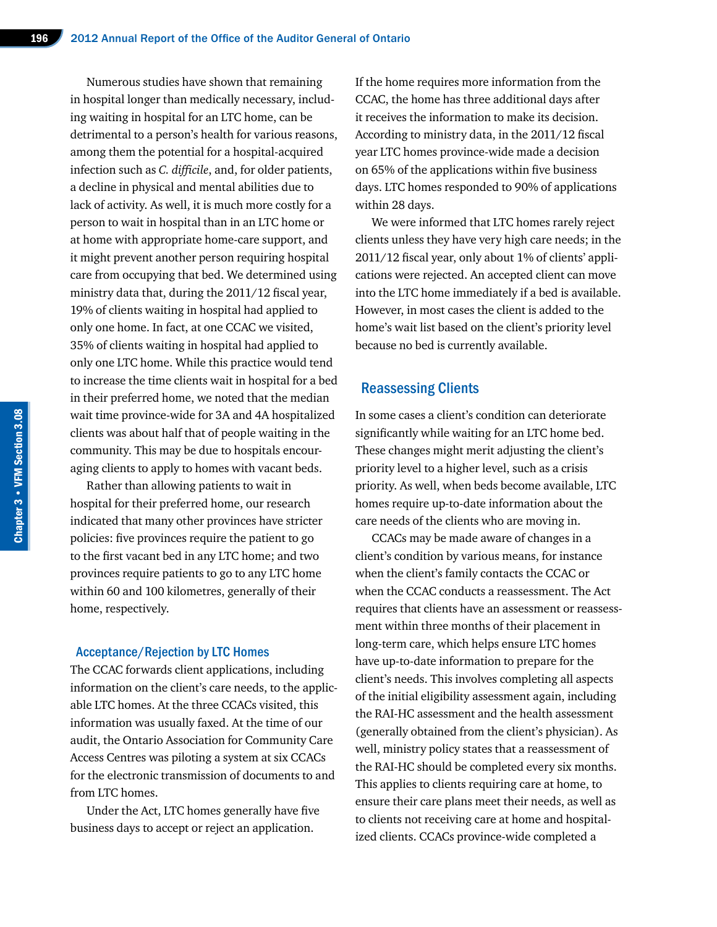Numerous studies have shown that remaining in hospital longer than medically necessary, including waiting in hospital for an LTC home, can be detrimental to a person's health for various reasons, among them the potential for a hospital-acquired infection such as *C. difficile*, and, for older patients, a decline in physical and mental abilities due to lack of activity. As well, it is much more costly for a person to wait in hospital than in an LTC home or at home with appropriate home-care support, and it might prevent another person requiring hospital care from occupying that bed. We determined using ministry data that, during the 2011/12 fiscal year, 19% of clients waiting in hospital had applied to only one home. In fact, at one CCAC we visited, 35% of clients waiting in hospital had applied to only one LTC home. While this practice would tend to increase the time clients wait in hospital for a bed in their preferred home, we noted that the median wait time province-wide for 3A and 4A hospitalized clients was about half that of people waiting in the community. This may be due to hospitals encouraging clients to apply to homes with vacant beds.

Rather than allowing patients to wait in hospital for their preferred home, our research indicated that many other provinces have stricter policies: five provinces require the patient to go to the first vacant bed in any LTC home; and two provinces require patients to go to any LTC home within 60 and 100 kilometres, generally of their home, respectively.

#### Acceptance/Rejection by LTC Homes

The CCAC forwards client applications, including information on the client's care needs, to the applicable LTC homes. At the three CCACs visited, this information was usually faxed. At the time of our audit, the Ontario Association for Community Care Access Centres was piloting a system at six CCACs for the electronic transmission of documents to and from LTC homes.

Under the Act, LTC homes generally have five business days to accept or reject an application.

If the home requires more information from the CCAC, the home has three additional days after it receives the information to make its decision. According to ministry data, in the 2011/12 fiscal year LTC homes province-wide made a decision on 65% of the applications within five business days. LTC homes responded to 90% of applications within 28 days.

We were informed that LTC homes rarely reject clients unless they have very high care needs; in the 2011/12 fiscal year, only about 1% of clients' applications were rejected. An accepted client can move into the LTC home immediately if a bed is available. However, in most cases the client is added to the home's wait list based on the client's priority level because no bed is currently available.

#### Reassessing Clients

In some cases a client's condition can deteriorate significantly while waiting for an LTC home bed. These changes might merit adjusting the client's priority level to a higher level, such as a crisis priority. As well, when beds become available, LTC homes require up-to-date information about the care needs of the clients who are moving in.

CCACs may be made aware of changes in a client's condition by various means, for instance when the client's family contacts the CCAC or when the CCAC conducts a reassessment. The Act requires that clients have an assessment or reassessment within three months of their placement in long-term care, which helps ensure LTC homes have up-to-date information to prepare for the client's needs. This involves completing all aspects of the initial eligibility assessment again, including the RAI-HC assessment and the health assessment (generally obtained from the client's physician). As well, ministry policy states that a reassessment of the RAI-HC should be completed every six months. This applies to clients requiring care at home, to ensure their care plans meet their needs, as well as to clients not receiving care at home and hospitalized clients. CCACs province-wide completed a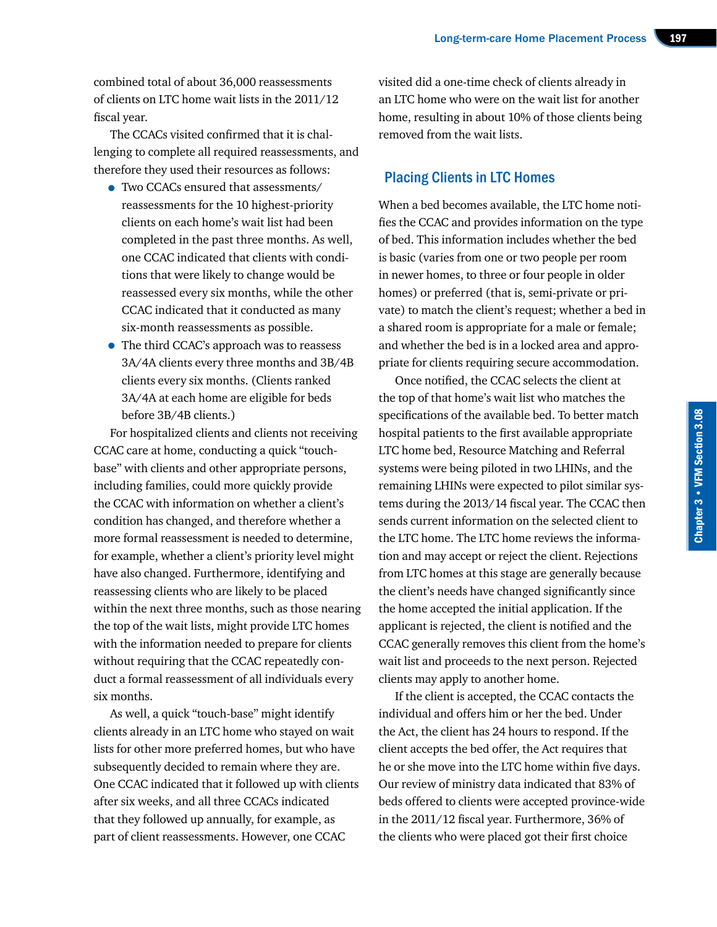combined total of about 36,000 reassessments of clients on LTC home wait lists in the 2011/12 fiscal year.

The CCACs visited confirmed that it is challenging to complete all required reassessments, and therefore they used their resources as follows:

- Two CCACs ensured that assessments/ reassessments for the 10 highest-priority clients on each home's wait list had been completed in the past three months. As well, one CCAC indicated that clients with conditions that were likely to change would be reassessed every six months, while the other CCAC indicated that it conducted as many six-month reassessments as possible.
- The third CCAC's approach was to reassess 3A/4A clients every three months and 3B/4B clients every six months. (Clients ranked 3A/4A at each home are eligible for beds before 3B/4B clients.)

For hospitalized clients and clients not receiving CCAC care at home, conducting a quick "touchbase" with clients and other appropriate persons, including families, could more quickly provide the CCAC with information on whether a client's condition has changed, and therefore whether a more formal reassessment is needed to determine, for example, whether a client's priority level might have also changed. Furthermore, identifying and reassessing clients who are likely to be placed within the next three months, such as those nearing the top of the wait lists, might provide LTC homes with the information needed to prepare for clients without requiring that the CCAC repeatedly conduct a formal reassessment of all individuals every six months.

As well, a quick "touch-base" might identify clients already in an LTC home who stayed on wait lists for other more preferred homes, but who have subsequently decided to remain where they are. One CCAC indicated that it followed up with clients after six weeks, and all three CCACs indicated that they followed up annually, for example, as part of client reassessments. However, one CCAC

visited did a one-time check of clients already in an LTC home who were on the wait list for another home, resulting in about 10% of those clients being removed from the wait lists.

#### Placing Clients in LTC Homes

When a bed becomes available, the LTC home notifies the CCAC and provides information on the type of bed. This information includes whether the bed is basic (varies from one or two people per room in newer homes, to three or four people in older homes) or preferred (that is, semi-private or private) to match the client's request; whether a bed in a shared room is appropriate for a male or female; and whether the bed is in a locked area and appropriate for clients requiring secure accommodation.

Once notified, the CCAC selects the client at the top of that home's wait list who matches the specifications of the available bed. To better match hospital patients to the first available appropriate LTC home bed, Resource Matching and Referral systems were being piloted in two LHINs, and the remaining LHINs were expected to pilot similar systems during the 2013/14 fiscal year. The CCAC then sends current information on the selected client to the LTC home. The LTC home reviews the information and may accept or reject the client. Rejections from LTC homes at this stage are generally because the client's needs have changed significantly since the home accepted the initial application. If the applicant is rejected, the client is notified and the CCAC generally removes this client from the home's wait list and proceeds to the next person. Rejected clients may apply to another home.

If the client is accepted, the CCAC contacts the individual and offers him or her the bed. Under the Act, the client has 24 hours to respond. If the client accepts the bed offer, the Act requires that he or she move into the LTC home within five days. Our review of ministry data indicated that 83% of beds offered to clients were accepted province-wide in the 2011/12 fiscal year. Furthermore, 36% of the clients who were placed got their first choice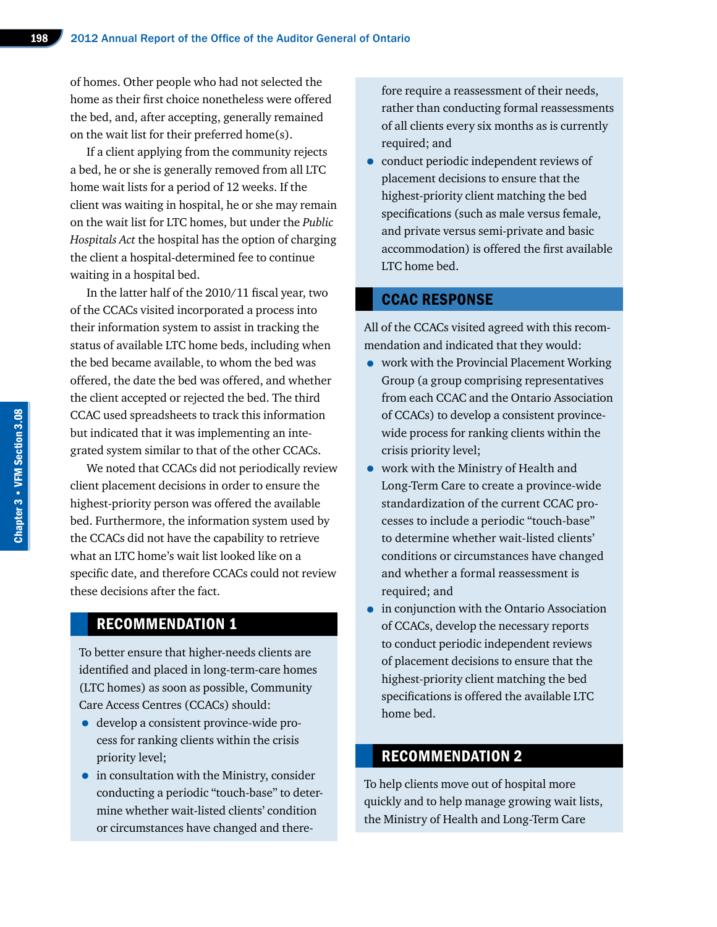of homes. Other people who had not selected the home as their first choice nonetheless were offered the bed, and, after accepting, generally remained on the wait list for their preferred home(s).

If a client applying from the community rejects a bed, he or she is generally removed from all LTC home wait lists for a period of 12 weeks. If the client was waiting in hospital, he or she may remain on the wait list for LTC homes, but under the *Public Hospitals Act* the hospital has the option of charging the client a hospital-determined fee to continue waiting in a hospital bed.

In the latter half of the 2010/11 fiscal year, two of the CCACs visited incorporated a process into their information system to assist in tracking the status of available LTC home beds, including when the bed became available, to whom the bed was offered, the date the bed was offered, and whether the client accepted or rejected the bed. The third CCAC used spreadsheets to track this information but indicated that it was implementing an integrated system similar to that of the other CCACs.

We noted that CCACs did not periodically review client placement decisions in order to ensure the highest-priority person was offered the available bed. Furthermore, the information system used by the CCACs did not have the capability to retrieve what an LTC home's wait list looked like on a specific date, and therefore CCACs could not review these decisions after the fact.

#### RECOMMENDATION 1

To better ensure that higher-needs clients are identified and placed in long-term-care homes (LTC homes) as soon as possible, Community Care Access Centres (CCACs) should:

- develop a consistent province-wide process for ranking clients within the crisis priority level;
- in consultation with the Ministry, consider conducting a periodic "touch-base" to determine whether wait-listed clients' condition or circumstances have changed and there-

fore require a reassessment of their needs, rather than conducting formal reassessments of all clients every six months as is currently required; and

• conduct periodic independent reviews of placement decisions to ensure that the highest-priority client matching the bed specifications (such as male versus female, and private versus semi-private and basic accommodation) is offered the first available LTC home bed.

#### CCAC RESPONSE

All of the CCACs visited agreed with this recommendation and indicated that they would:

- work with the Provincial Placement Working Group (a group comprising representatives from each CCAC and the Ontario Association of CCACs) to develop a consistent provincewide process for ranking clients within the crisis priority level;
- work with the Ministry of Health and Long-Term Care to create a province-wide standardization of the current CCAC processes to include a periodic "touch-base" to determine whether wait-listed clients' conditions or circumstances have changed and whether a formal reassessment is required; and
- in conjunction with the Ontario Association of CCACs, develop the necessary reports to conduct periodic independent reviews of placement decisions to ensure that the highest-priority client matching the bed specifications is offered the available LTC home bed.

# RECOMMENDATION 2

To help clients move out of hospital more quickly and to help manage growing wait lists, the Ministry of Health and Long-Term Care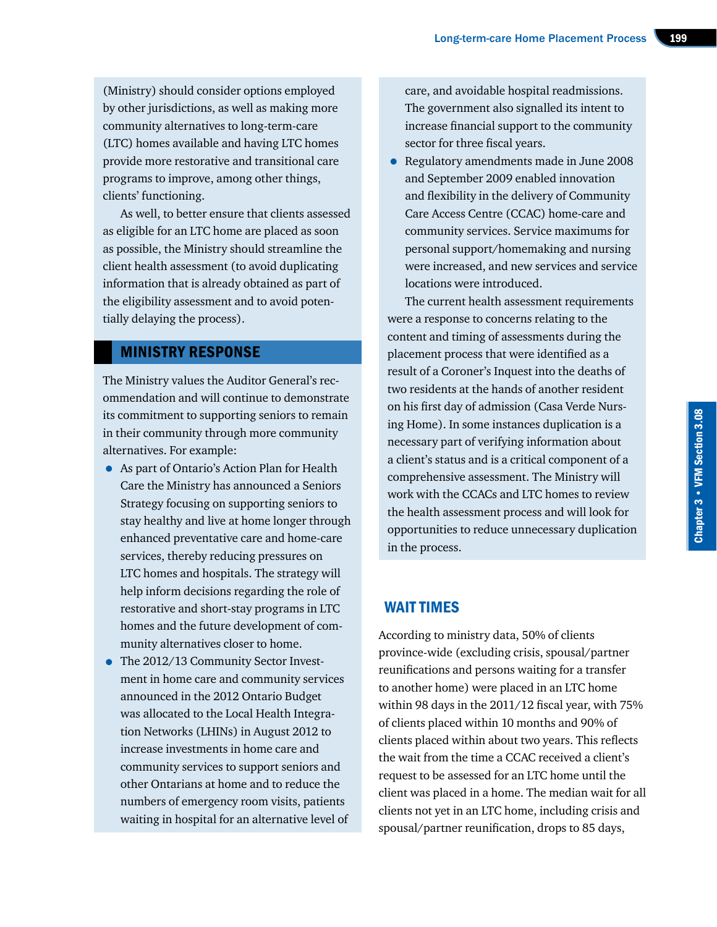(Ministry) should consider options employed by other jurisdictions, as well as making more community alternatives to long-term-care (LTC) homes available and having LTC homes provide more restorative and transitional care programs to improve, among other things, clients' functioning.

As well, to better ensure that clients assessed as eligible for an LTC home are placed as soon as possible, the Ministry should streamline the client health assessment (to avoid duplicating information that is already obtained as part of the eligibility assessment and to avoid potentially delaying the process).

#### MINISTRY RESPONSE

The Ministry values the Auditor General's recommendation and will continue to demonstrate its commitment to supporting seniors to remain in their community through more community alternatives. For example:

- As part of Ontario's Action Plan for Health Care the Ministry has announced a Seniors Strategy focusing on supporting seniors to stay healthy and live at home longer through enhanced preventative care and home-care services, thereby reducing pressures on LTC homes and hospitals. The strategy will help inform decisions regarding the role of restorative and short-stay programs in LTC homes and the future development of community alternatives closer to home.
- The 2012/13 Community Sector Investment in home care and community services announced in the 2012 Ontario Budget was allocated to the Local Health Integration Networks (LHINs) in August 2012 to increase investments in home care and community services to support seniors and other Ontarians at home and to reduce the numbers of emergency room visits, patients waiting in hospital for an alternative level of

care, and avoidable hospital readmissions. The government also signalled its intent to increase financial support to the community sector for three fiscal years.

• Regulatory amendments made in June 2008 and September 2009 enabled innovation and flexibility in the delivery of Community Care Access Centre (CCAC) home-care and community services. Service maximums for personal support/homemaking and nursing were increased, and new services and service locations were introduced.

The current health assessment requirements were a response to concerns relating to the content and timing of assessments during the placement process that were identified as a result of a Coroner's Inquest into the deaths of two residents at the hands of another resident on his first day of admission (Casa Verde Nursing Home). In some instances duplication is a necessary part of verifying information about a client's status and is a critical component of a comprehensive assessment. The Ministry will work with the CCACs and LTC homes to review the health assessment process and will look for opportunities to reduce unnecessary duplication in the process.

# WAIT TIMES

According to ministry data, 50% of clients province-wide (excluding crisis, spousal/partner reunifications and persons waiting for a transfer to another home) were placed in an LTC home within 98 days in the 2011/12 fiscal year, with 75% of clients placed within 10 months and 90% of clients placed within about two years. This reflects the wait from the time a CCAC received a client's request to be assessed for an LTC home until the client was placed in a home. The median wait for all clients not yet in an LTC home, including crisis and spousal/partner reunification, drops to 85 days,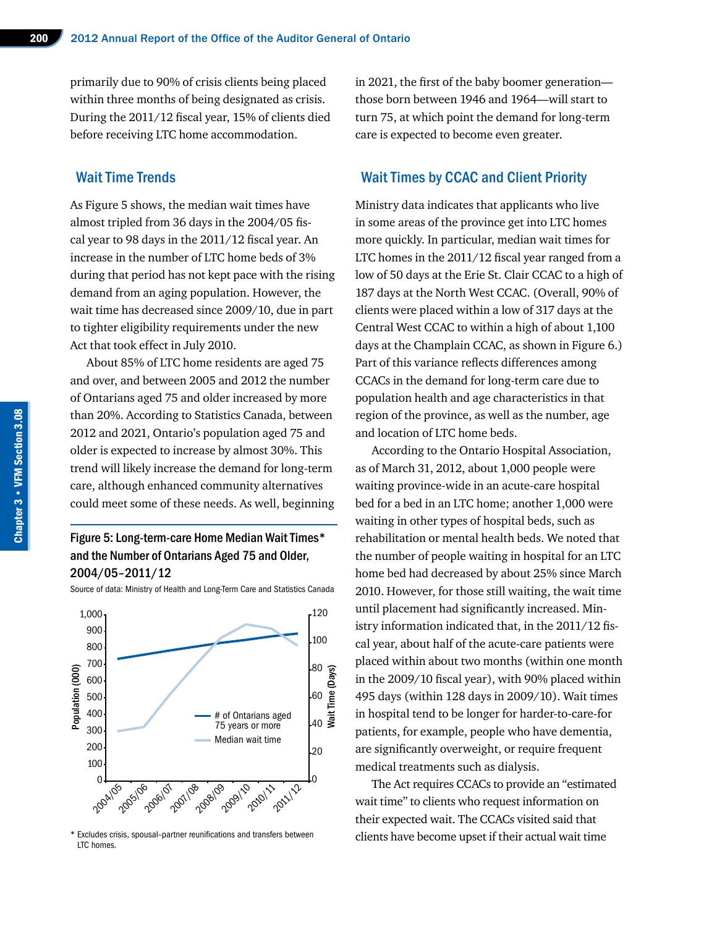primarily due to 90% of crisis clients being placed within three months of being designated as crisis. During the 2011/12 fiscal year, 15% of clients died before receiving LTC home accommodation.

#### Wait Time Trends

As Figure 5 shows, the median wait times have almost tripled from 36 days in the 2004/05 fiscal year to 98 days in the 2011/12 fiscal year. An increase in the number of LTC home beds of 3% during that period has not kept pace with the rising demand from an aging population. However, the wait time has decreased since 2009/10, due in part to tighter eligibility requirements under the new Act that took effect in July 2010.

About 85% of LTC home residents are aged 75 and over, and between 2005 and 2012 the number of Ontarians aged 75 and older increased by more than 20%. According to Statistics Canada, between 2012 and 2021, Ontario's population aged 75 and older is expected to increase by almost 30%. This trend will likely increase the demand for long-term care, although enhanced community alternatives could meet some of these needs. As well, beginning

#### Figure 5: Long-term-care Home Median Wait Times\* and the Number of Ontarians Aged 75 and Older, 2004/05–2011/12

Source of data: Ministry of Health and Long-Term Care and Statistics Canada



\* Excludes crisis, spousal–partner reunifications and transfers between LTC homes.

in 2021, the first of the baby boomer generation those born between 1946 and 1964—will start to turn 75, at which point the demand for long-term care is expected to become even greater.

#### Wait Times by CCAC and Client Priority

Ministry data indicates that applicants who live in some areas of the province get into LTC homes more quickly. In particular, median wait times for LTC homes in the 2011/12 fiscal year ranged from a low of 50 days at the Erie St. Clair CCAC to a high of 187 days at the North West CCAC. (Overall, 90% of clients were placed within a low of 317 days at the Central West CCAC to within a high of about 1,100 days at the Champlain CCAC, as shown in Figure 6.) Part of this variance reflects differences among CCACs in the demand for long-term care due to population health and age characteristics in that region of the province, as well as the number, age and location of LTC home beds.

According to the Ontario Hospital Association, as of March 31, 2012, about 1,000 people were waiting province-wide in an acute-care hospital bed for a bed in an LTC home; another 1,000 were waiting in other types of hospital beds, such as rehabilitation or mental health beds. We noted that the number of people waiting in hospital for an LTC home bed had decreased by about 25% since March 2010. However, for those still waiting, the wait time until placement had significantly increased. Ministry information indicated that, in the 2011/12 fiscal year, about half of the acute-care patients were placed within about two months (within one month in the 2009/10 fiscal year), with 90% placed within 495 days (within 128 days in 2009/10). Wait times in hospital tend to be longer for harder-to-care-for patients, for example, people who have dementia, are significantly overweight, or require frequent medical treatments such as dialysis.

The Act requires CCACs to provide an "estimated wait time" to clients who request information on their expected wait. The CCACs visited said that clients have become upset if their actual wait time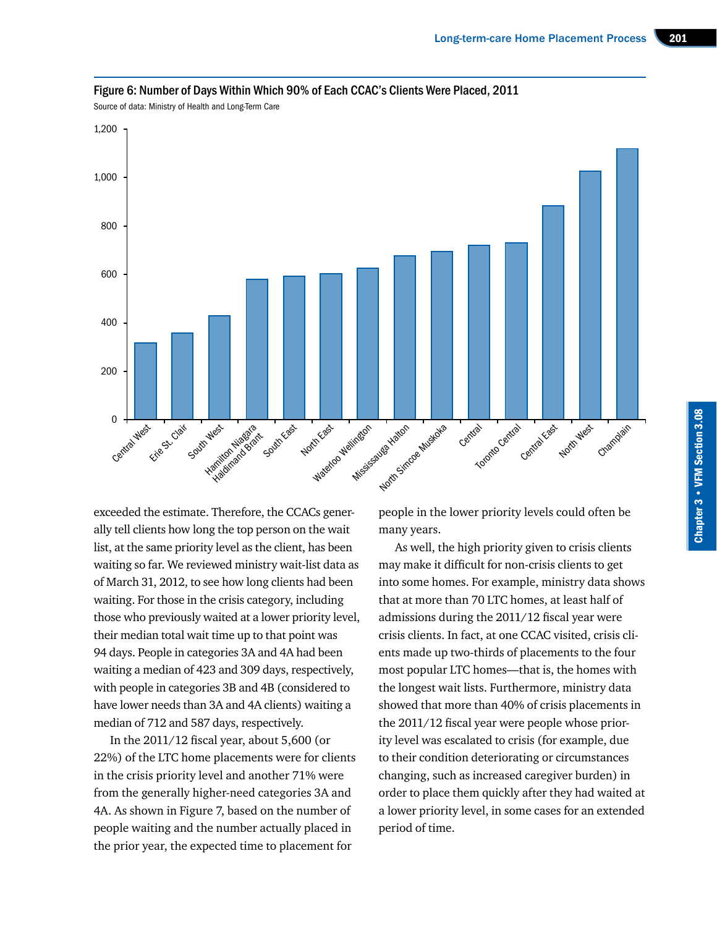

#### Figure 6: Number of Days Within Which 90% of Each CCAC's Clients Were Placed, 2011

Source of data: Ministry of Health and Long-Term Care

exceeded the estimate. Therefore, the CCACs generally tell clients how long the top person on the wait list, at the same priority level as the client, has been waiting so far. We reviewed ministry wait-list data as of March 31, 2012, to see how long clients had been waiting. For those in the crisis category, including those who previously waited at a lower priority level, their median total wait time up to that point was 94 days. People in categories 3A and 4A had been waiting a median of 423 and 309 days, respectively, with people in categories 3B and 4B (considered to have lower needs than 3A and 4A clients) waiting a median of 712 and 587 days, respectively.

In the 2011/12 fiscal year, about 5,600 (or 22%) of the LTC home placements were for clients in the crisis priority level and another 71% were from the generally higher-need categories 3A and 4A. As shown in Figure 7, based on the number of people waiting and the number actually placed in the prior year, the expected time to placement for

people in the lower priority levels could often be many years.

As well, the high priority given to crisis clients may make it difficult for non-crisis clients to get into some homes. For example, ministry data shows that at more than 70 LTC homes, at least half of admissions during the 2011/12 fiscal year were crisis clients. In fact, at one CCAC visited, crisis clients made up two-thirds of placements to the four most popular LTC homes—that is, the homes with the longest wait lists. Furthermore, ministry data showed that more than 40% of crisis placements in the 2011/12 fiscal year were people whose priority level was escalated to crisis (for example, due to their condition deteriorating or circumstances changing, such as increased caregiver burden) in order to place them quickly after they had waited at a lower priority level, in some cases for an extended period of time.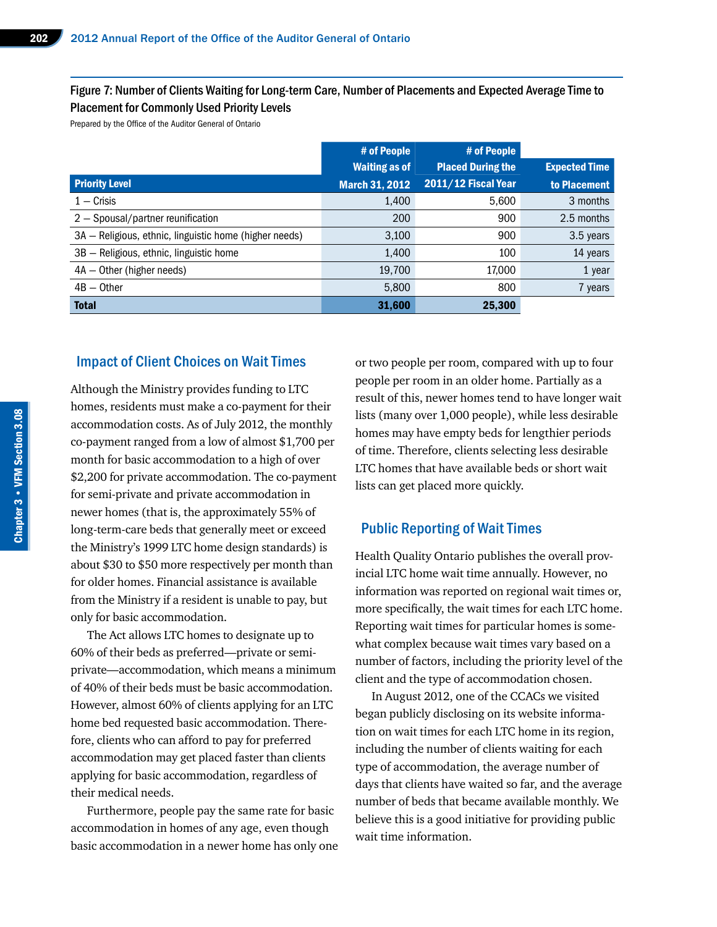#### Figure 7: Number of Clients Waiting for Long-term Care, Number of Placements and Expected Average Time to Placement for Commonly Used Priority Levels

Prepared by the Office of the Auditor General of Ontario

|                                                        | # of People           | # of People              |                      |
|--------------------------------------------------------|-----------------------|--------------------------|----------------------|
|                                                        | <b>Waiting as of</b>  | <b>Placed During the</b> | <b>Expected Time</b> |
| <b>Priority Level</b>                                  | <b>March 31, 2012</b> | 2011/12 Fiscal Year      | to Placement         |
| $1 -$ Crisis                                           | 1,400                 | 5,600                    | 3 months             |
| 2 - Spousal/partner reunification                      | 200                   | 900                      | 2.5 months           |
| 3A - Religious, ethnic, linguistic home (higher needs) | 3,100                 | 900                      | 3.5 years            |
| 3B - Religious, ethnic, linguistic home                | 1,400                 | 100                      | 14 years             |
| $4A - Other (higher needs)$                            | 19,700                | 17,000                   | 1 year               |
| $4B -$ Other                                           | 5,800                 | 800                      | 7 years              |
| <b>Total</b>                                           | 31,600                | 25,300                   |                      |

#### Impact of Client Choices on Wait Times

Although the Ministry provides funding to LTC homes, residents must make a co-payment for their accommodation costs. As of July 2012, the monthly co-payment ranged from a low of almost \$1,700 per month for basic accommodation to a high of over \$2,200 for private accommodation. The co-payment for semi-private and private accommodation in newer homes (that is, the approximately 55% of long-term-care beds that generally meet or exceed the Ministry's 1999 LTC home design standards) is about \$30 to \$50 more respectively per month than for older homes. Financial assistance is available from the Ministry if a resident is unable to pay, but only for basic accommodation.

The Act allows LTC homes to designate up to 60% of their beds as preferred—private or semiprivate—accommodation, which means a minimum of 40% of their beds must be basic accommodation. However, almost 60% of clients applying for an LTC home bed requested basic accommodation. Therefore, clients who can afford to pay for preferred accommodation may get placed faster than clients applying for basic accommodation, regardless of their medical needs.

Furthermore, people pay the same rate for basic accommodation in homes of any age, even though basic accommodation in a newer home has only one or two people per room, compared with up to four people per room in an older home. Partially as a result of this, newer homes tend to have longer wait lists (many over 1,000 people), while less desirable homes may have empty beds for lengthier periods of time. Therefore, clients selecting less desirable LTC homes that have available beds or short wait lists can get placed more quickly.

#### Public Reporting of Wait Times

Health Quality Ontario publishes the overall provincial LTC home wait time annually. However, no information was reported on regional wait times or, more specifically, the wait times for each LTC home. Reporting wait times for particular homes is somewhat complex because wait times vary based on a number of factors, including the priority level of the client and the type of accommodation chosen.

In August 2012, one of the CCACs we visited began publicly disclosing on its website information on wait times for each LTC home in its region, including the number of clients waiting for each type of accommodation, the average number of days that clients have waited so far, and the average number of beds that became available monthly. We believe this is a good initiative for providing public wait time information.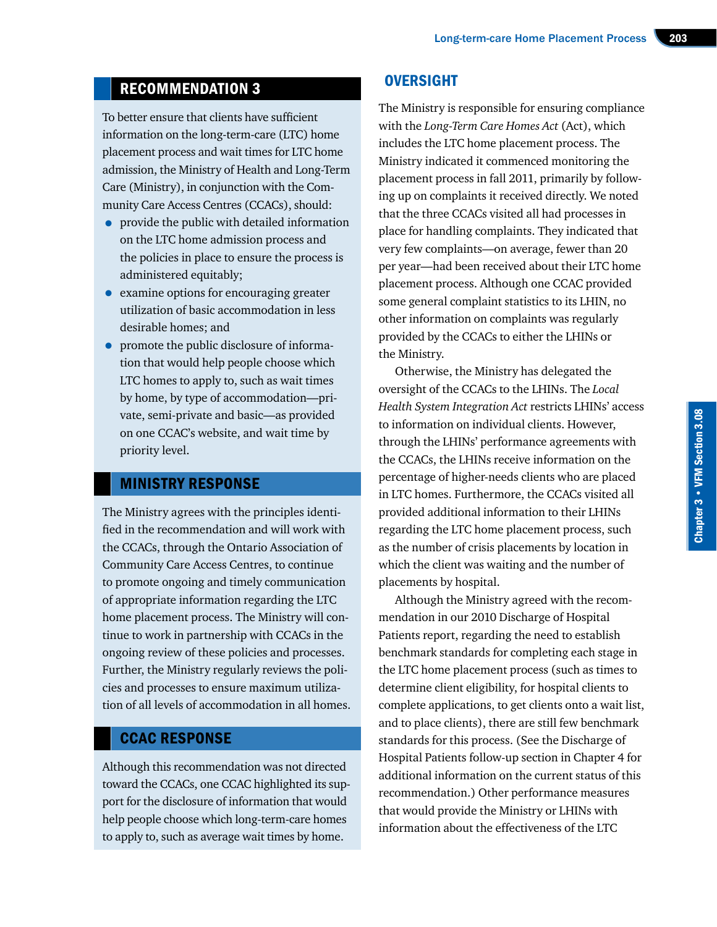# RECOMMENDATION 3

To better ensure that clients have sufficient information on the long-term-care (LTC) home placement process and wait times for LTC home admission, the Ministry of Health and Long-Term Care (Ministry), in conjunction with the Community Care Access Centres (CCACs), should:

- provide the public with detailed information on the LTC home admission process and the policies in place to ensure the process is administered equitably;
- examine options for encouraging greater utilization of basic accommodation in less desirable homes; and
- promote the public disclosure of information that would help people choose which LTC homes to apply to, such as wait times by home, by type of accommodation—private, semi-private and basic—as provided on one CCAC's website, and wait time by priority level.

## MINISTRY RESPONSE

The Ministry agrees with the principles identified in the recommendation and will work with the CCACs, through the Ontario Association of Community Care Access Centres, to continue to promote ongoing and timely communication of appropriate information regarding the LTC home placement process. The Ministry will continue to work in partnership with CCACs in the ongoing review of these policies and processes. Further, the Ministry regularly reviews the policies and processes to ensure maximum utilization of all levels of accommodation in all homes.

## CCAC RESPONSE

Although this recommendation was not directed toward the CCACs, one CCAC highlighted its support for the disclosure of information that would help people choose which long-term-care homes to apply to, such as average wait times by home.

# **OVERSIGHT**

The Ministry is responsible for ensuring compliance with the *Long-Term Care Homes Act* (Act), which includes the LTC home placement process. The Ministry indicated it commenced monitoring the placement process in fall 2011, primarily by following up on complaints it received directly. We noted that the three CCACs visited all had processes in place for handling complaints. They indicated that very few complaints—on average, fewer than 20 per year—had been received about their LTC home placement process. Although one CCAC provided some general complaint statistics to its LHIN, no other information on complaints was regularly provided by the CCACs to either the LHINs or the Ministry.

Otherwise, the Ministry has delegated the oversight of the CCACs to the LHINs. The *Local Health System Integration Act* restricts LHINs' access to information on individual clients. However, through the LHINs' performance agreements with the CCACs, the LHINs receive information on the percentage of higher-needs clients who are placed in LTC homes. Furthermore, the CCACs visited all provided additional information to their LHINs regarding the LTC home placement process, such as the number of crisis placements by location in which the client was waiting and the number of placements by hospital.

Although the Ministry agreed with the recommendation in our 2010 Discharge of Hospital Patients report, regarding the need to establish benchmark standards for completing each stage in the LTC home placement process (such as times to determine client eligibility, for hospital clients to complete applications, to get clients onto a wait list, and to place clients), there are still few benchmark standards for this process. (See the Discharge of Hospital Patients follow-up section in Chapter 4 for additional information on the current status of this recommendation.) Other performance measures that would provide the Ministry or LHINs with information about the effectiveness of the LTC